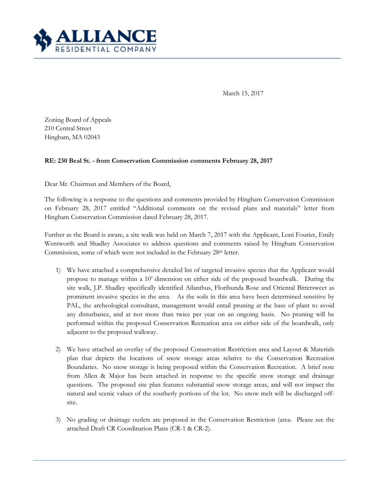

March 15, 2017

Zoning Board of Appeals 210 Central Street Hingham, MA 02043

## **RE: 230 Beal St. - from Conservation Commission comments February 28, 2017**

Dear Mr. Chairman and Members of the Board,

The following is a response to the questions and comments provided by Hingham Conservation Commission on February 28, 2017 entitled "Additional comments on the revised plans and materials" letter from Hingham Conservation Commission dated February 28, 2017.

Further as the Board is aware, a site walk was held on March 7, 2017 with the Applicant, Loni Fourier, Emily Wentworth and Shadley Associates to address questions and comments raised by Hingham Conservation Commission, some of which were not included in the February 28th letter.

- 1) We have attached a comprehensive detailed list of targeted invasive species that the Applicant would propose to manage within a 10' dimension on either side of the proposed boardwalk. During the site walk, J.P. Shadley specifically identified Ailanthus, Floribunda Rose and Oriental Bittersweet as prominent invasive species in the area. As the soils in this area have been determined sensitive by PAL, the archeological consultant, management would entail pruning at the base of plant to avoid any disturbance, and at not more than twice per year on an ongoing basis. No pruning will be performed within the proposed Conservation Recreation area on either side of the boardwalk, only adjacent to the proposed walkway.
- 2) We have attached an overlay of the proposed Conservation Restriction area and Layout & Materials plan that depicts the locations of snow storage areas relative to the Conservation Recreation Boundaries. No snow storage is being proposed within the Conservation Recreation. A brief note from Allen & Major has been attached in response to the specific snow storage and drainage questions. The proposed site plan features substantial snow storage areas, and will not impact the natural and scenic values of the southerly portions of the lot. No snow melt will be discharged offsite.
- 3) No grading or drainage outlets are proposed in the Conservation Restriction (area. Please see the attached Draft CR Coordination Plans (CR-1 & CR-2).